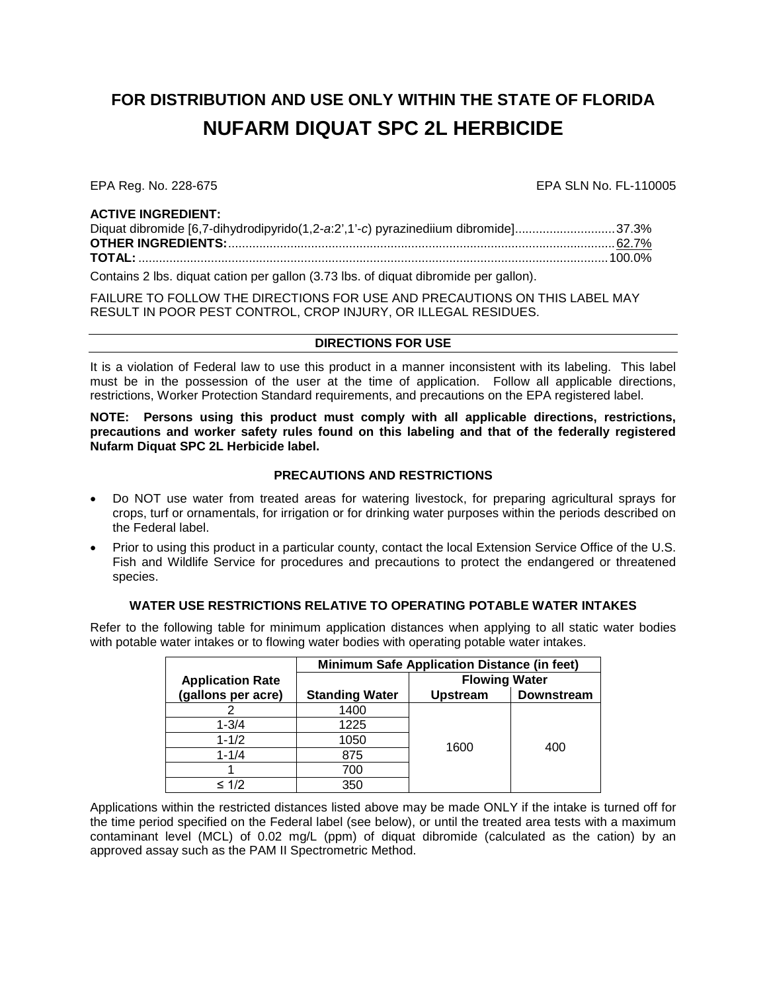# **FOR DISTRIBUTION AND USE ONLY WITHIN THE STATE OF FLORIDA NUFARM DIQUAT SPC 2L HERBICIDE**

EPA Reg. No. 228-675 EPA SLN No. FL-110005

#### **ACTIVE INGREDIENT:**

| Diquat dibromide [6,7-dihydrodipyrido(1,2-a:2',1'-c) pyrazinediium dibromide]37.3% |  |
|------------------------------------------------------------------------------------|--|
|                                                                                    |  |
|                                                                                    |  |
|                                                                                    |  |

Contains 2 lbs. diquat cation per gallon (3.73 lbs. of diquat dibromide per gallon).

FAILURE TO FOLLOW THE DIRECTIONS FOR USE AND PRECAUTIONS ON THIS LABEL MAY RESULT IN POOR PEST CONTROL, CROP INJURY, OR ILLEGAL RESIDUES.

## **DIRECTIONS FOR USE**

It is a violation of Federal law to use this product in a manner inconsistent with its labeling. This label must be in the possession of the user at the time of application. Follow all applicable directions, restrictions, Worker Protection Standard requirements, and precautions on the EPA registered label.

**NOTE: Persons using this product must comply with all applicable directions, restrictions, precautions and worker safety rules found on this labeling and that of the federally registered Nufarm Diquat SPC 2L Herbicide label.**

## **PRECAUTIONS AND RESTRICTIONS**

- Do NOT use water from treated areas for watering livestock, for preparing agricultural sprays for crops, turf or ornamentals, for irrigation or for drinking water purposes within the periods described on the Federal label.
- Prior to using this product in a particular county, contact the local Extension Service Office of the U.S. Fish and Wildlife Service for procedures and precautions to protect the endangered or threatened species.

## **WATER USE RESTRICTIONS RELATIVE TO OPERATING POTABLE WATER INTAKES**

Refer to the following table for minimum application distances when applying to all static water bodies with potable water intakes or to flowing water bodies with operating potable water intakes.

|                         | <b>Minimum Safe Application Distance (in feet)</b> |                      |                   |  |
|-------------------------|----------------------------------------------------|----------------------|-------------------|--|
| <b>Application Rate</b> |                                                    | <b>Flowing Water</b> |                   |  |
| (gallons per acre)      | <b>Standing Water</b>                              | <b>Upstream</b>      | <b>Downstream</b> |  |
|                         | 1400                                               |                      | 400               |  |
| $1 - 3/4$               | 1225                                               |                      |                   |  |
| $1 - 1/2$               | 1050                                               | 1600                 |                   |  |
| $1 - 1/4$               | 875                                                |                      |                   |  |
|                         | 700                                                |                      |                   |  |
| $\leq 1/2$              | 350                                                |                      |                   |  |

Applications within the restricted distances listed above may be made ONLY if the intake is turned off for the time period specified on the Federal label (see below), or until the treated area tests with a maximum contaminant level (MCL) of 0.02 mg/L (ppm) of diquat dibromide (calculated as the cation) by an approved assay such as the PAM II Spectrometric Method.